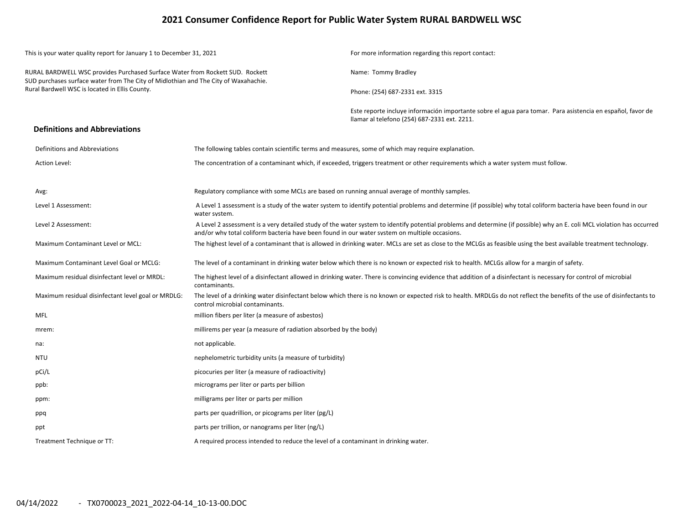### **2021 Consumer Confidence Report for Public Water System RURAL BARDWELL WSC**

|                                                                                                                      | This is your water quality report for January 1 to December 31, 2021                                                                                                 |                                                                                                    | For more information regarding this report contact:                                                                                                                    |  |  |  |  |  |
|----------------------------------------------------------------------------------------------------------------------|----------------------------------------------------------------------------------------------------------------------------------------------------------------------|----------------------------------------------------------------------------------------------------|------------------------------------------------------------------------------------------------------------------------------------------------------------------------|--|--|--|--|--|
|                                                                                                                      | RURAL BARDWELL WSC provides Purchased Surface Water from Rockett SUD. Rockett<br>SUD purchases surface water from The City of Midlothian and The City of Waxahachie. |                                                                                                    | Name: Tommy Bradley                                                                                                                                                    |  |  |  |  |  |
|                                                                                                                      | Rural Bardwell WSC is located in Ellis County.                                                                                                                       |                                                                                                    | Phone: (254) 687-2331 ext. 3315                                                                                                                                        |  |  |  |  |  |
|                                                                                                                      |                                                                                                                                                                      |                                                                                                    | Este reporte incluye información importante sobre el agua para tomar. Para asistencia en español, favor de<br>llamar al telefono (254) 687-2331 ext. 2211.             |  |  |  |  |  |
|                                                                                                                      | <b>Definitions and Abbreviations</b>                                                                                                                                 |                                                                                                    |                                                                                                                                                                        |  |  |  |  |  |
|                                                                                                                      | Definitions and Abbreviations                                                                                                                                        | The following tables contain scientific terms and measures, some of which may require explanation. |                                                                                                                                                                        |  |  |  |  |  |
|                                                                                                                      | <b>Action Level:</b>                                                                                                                                                 |                                                                                                    | The concentration of a contaminant which, if exceeded, triggers treatment or other requirements which a water system must follow.                                      |  |  |  |  |  |
|                                                                                                                      | Avg:                                                                                                                                                                 | Regulatory compliance with some MCLs are based on running annual average of monthly samples.       |                                                                                                                                                                        |  |  |  |  |  |
| Level 1 Assessment:<br>water system.                                                                                 |                                                                                                                                                                      |                                                                                                    | A Level 1 assessment is a study of the water system to identify potential problems and determine (if possible) why total coliform bacteria have been found in our      |  |  |  |  |  |
| Level 2 Assessment:<br>and/or why total coliform bacteria have been found in our water system on multiple occasions. |                                                                                                                                                                      |                                                                                                    | A Level 2 assessment is a very detailed study of the water system to identify potential problems and determine (if possible) why an E. coli MCL violation has occurred |  |  |  |  |  |
|                                                                                                                      | Maximum Contaminant Level or MCL:                                                                                                                                    |                                                                                                    | The highest level of a contaminant that is allowed in drinking water. MCLs are set as close to the MCLGs as feasible using the best available treatment technology.    |  |  |  |  |  |
|                                                                                                                      | Maximum Contaminant Level Goal or MCLG:                                                                                                                              |                                                                                                    | The level of a contaminant in drinking water below which there is no known or expected risk to health. MCLGs allow for a margin of safety.                             |  |  |  |  |  |
|                                                                                                                      | Maximum residual disinfectant level or MRDL:                                                                                                                         | contaminants.                                                                                      | The highest level of a disinfectant allowed in drinking water. There is convincing evidence that addition of a disinfectant is necessary for control of microbial      |  |  |  |  |  |
|                                                                                                                      | Maximum residual disinfectant level goal or MRDLG:                                                                                                                   | control microbial contaminants.                                                                    | The level of a drinking water disinfectant below which there is no known or expected risk to health. MRDLGs do not reflect the benefits of the use of disinfectants to |  |  |  |  |  |
|                                                                                                                      | <b>MFL</b>                                                                                                                                                           | million fibers per liter (a measure of asbestos)                                                   |                                                                                                                                                                        |  |  |  |  |  |
|                                                                                                                      | mrem:                                                                                                                                                                | millirems per year (a measure of radiation absorbed by the body)                                   |                                                                                                                                                                        |  |  |  |  |  |
|                                                                                                                      | na:                                                                                                                                                                  | not applicable.                                                                                    |                                                                                                                                                                        |  |  |  |  |  |
|                                                                                                                      | <b>NTU</b>                                                                                                                                                           | nephelometric turbidity units (a measure of turbidity)                                             |                                                                                                                                                                        |  |  |  |  |  |
|                                                                                                                      | pCi/L                                                                                                                                                                | picocuries per liter (a measure of radioactivity)                                                  |                                                                                                                                                                        |  |  |  |  |  |
|                                                                                                                      | ppb:                                                                                                                                                                 | micrograms per liter or parts per billion                                                          |                                                                                                                                                                        |  |  |  |  |  |
|                                                                                                                      | ppm:                                                                                                                                                                 | milligrams per liter or parts per million                                                          |                                                                                                                                                                        |  |  |  |  |  |
|                                                                                                                      | ppq                                                                                                                                                                  | parts per quadrillion, or picograms per liter (pg/L)                                               |                                                                                                                                                                        |  |  |  |  |  |
|                                                                                                                      | ppt                                                                                                                                                                  | parts per trillion, or nanograms per liter (ng/L)                                                  |                                                                                                                                                                        |  |  |  |  |  |
|                                                                                                                      | Treatment Technique or TT:                                                                                                                                           | A required process intended to reduce the level of a contaminant in drinking water.                |                                                                                                                                                                        |  |  |  |  |  |
|                                                                                                                      |                                                                                                                                                                      |                                                                                                    |                                                                                                                                                                        |  |  |  |  |  |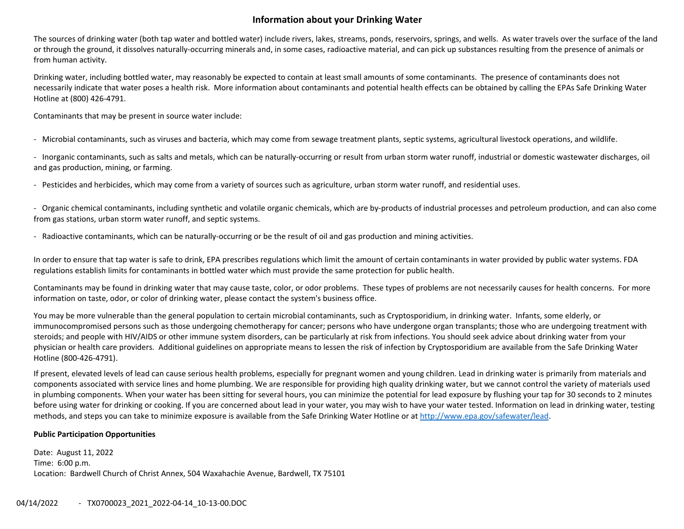## **Information about your Drinking Water**

The sources of drinking water (both tap water and bottled water) include rivers, lakes, streams, ponds, reservoirs, springs, and wells. As water travels over the surface of the land or through the ground, it dissolves naturally‐occurring minerals and, in some cases, radioactive material, and can pick up substances resulting from the presence of animals or from human activity.

Drinking water, including bottled water, may reasonably be expected to contain at least small amounts of some contaminants. The presence of contaminants does not necessarily indicate that water poses <sup>a</sup> health risk. More information about contaminants and potential health effects can be obtained by calling the EPAs Safe Drinking Water Hotline at (800) 426‐4791.

Contaminants that may be present in source water include:

‐ Microbial contaminants, such as viruses and bacteria, which may come from sewage treatment plants, septic systems, agricultural livestock operations, and wildlife.

‐ Inorganic contaminants, such as salts and metals, which can be naturally‐occurring or result from urban storm water runoff, industrial or domestic wastewater discharges, oil and gas production, mining, or farming.

‐ Pesticides and herbicides, which may come from <sup>a</sup> variety of sources such as agriculture, urban storm water runoff, and residential uses.

‐ Organic chemical contaminants, including synthetic and volatile organic chemicals, which are by‐products of industrial processes and petroleum production, and can also come from gas stations, urban storm water runoff, and septic systems.

‐ Radioactive contaminants, which can be naturally‐occurring or be the result of oil and gas production and mining activities.

In order to ensure that tap water is safe to drink, EPA prescribes regulations which limit the amount of certain contaminants in water provided by public water systems. FDA regulations establish limits for contaminants in bottled water which must provide the same protection for public health.

Contaminants may be found in drinking water that may cause taste, color, or odor problems. These types of problems are not necessarily causes for health concerns. For more information on taste, odor, or color of drinking water, please contact the system's business office.

You may be more vulnerable than the general population to certain microbial contaminants, such as Cryptosporidium, in drinking water. Infants, some elderly, or immunocompromised persons such as those undergoing chemotherapy for cancer; persons who have undergone organ transplants; those who are undergoing treatment with steroids; and people with HIV/AIDS or other immune system disorders, can be particularly at risk from infections. You should seek advice about drinking water from your physician or health care providers. Additional guidelines on appropriate means to lessen the risk of infection by Cryptosporidium are available from the Safe Drinking Water Hotline (800‐426‐4791).

If present, elevated levels of lead can cause serious health problems, especially for pregnant women and young children. Lead in drinking water is primarily from materials and components associated with service lines and home plumbing. We are responsible for providing high quality drinking water, but we cannot control the variety of materials used in plumbing components. When your water has been sitting for several hours, you can minimize the potential for lead exposure by flushing your tap for 30 seconds to 2 minutes before using water for drinking or cooking. If you are concerned about lead in your water, you may wish to have your water tested. Information on lead in drinking water, testing methods, and steps you can take to minimize exposure is available from the Safe Drinking Water Hotline or at http://www.epa.gov/safewater/lead.

#### **Public Participation Opportunities**

Date: August 11, 2022 Time: 6:00 p.m. Location: Bardwell Church of Christ Annex, 504 Waxahachie Avenue, Bardwell, TX 75101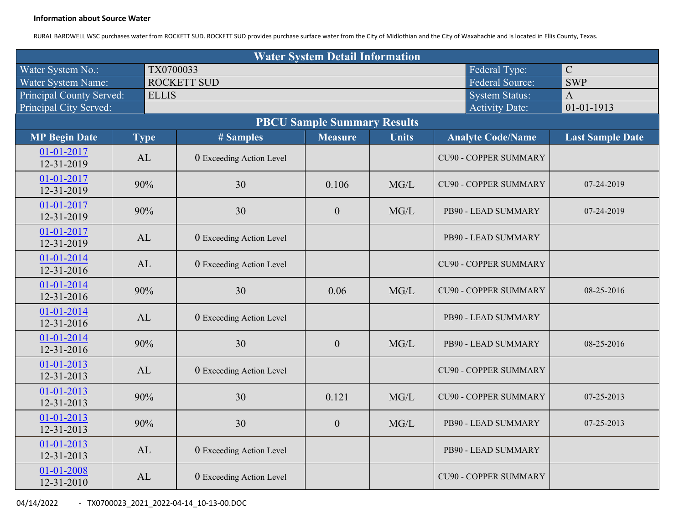#### **Information about Source Water**

RURAL BARDWELL WSC purchases water from ROCKETT SUD. ROCKETT SUD provides purchase surface water from the City of Midlothian and the City of Waxahachie and is located in Ellis County, Texas.

| <b>Water System Detail Information</b> |              |                          |                                    |              |                              |                         |  |  |  |  |
|----------------------------------------|--------------|--------------------------|------------------------------------|--------------|------------------------------|-------------------------|--|--|--|--|
| Water System No.:                      | TX0700033    |                          |                                    |              | Federal Type:                | $\mathcal{C}$           |  |  |  |  |
| Water System Name:                     |              | <b>ROCKETT SUD</b>       |                                    |              | <b>Federal Source:</b>       | <b>SWP</b>              |  |  |  |  |
| Principal County Served:               | <b>ELLIS</b> |                          |                                    |              | <b>System Status:</b>        | $\mathbf{A}$            |  |  |  |  |
| Principal City Served:                 |              |                          | <b>Activity Date:</b>              | 01-01-1913   |                              |                         |  |  |  |  |
|                                        |              |                          | <b>PBCU Sample Summary Results</b> |              |                              |                         |  |  |  |  |
| <b>MP Begin Date</b>                   | <b>Type</b>  | # Samples                | <b>Measure</b>                     | <b>Units</b> | <b>Analyte Code/Name</b>     | <b>Last Sample Date</b> |  |  |  |  |
| 01-01-2017<br>12-31-2019               | AL           | 0 Exceeding Action Level |                                    |              | <b>CU90 - COPPER SUMMARY</b> |                         |  |  |  |  |
| 01-01-2017<br>12-31-2019               | 90%          | 30                       | 0.106                              | MG/L         | <b>CU90 - COPPER SUMMARY</b> | 07-24-2019              |  |  |  |  |
| 01-01-2017<br>12-31-2019               | 90%          | 30                       | $\overline{0}$                     | MG/L         | PB90 - LEAD SUMMARY          | 07-24-2019              |  |  |  |  |
| 01-01-2017<br>12-31-2019               | AL           | 0 Exceeding Action Level |                                    |              | PB90 - LEAD SUMMARY          |                         |  |  |  |  |
| 01-01-2014<br>12-31-2016               | AL           | 0 Exceeding Action Level |                                    |              | <b>CU90 - COPPER SUMMARY</b> |                         |  |  |  |  |
| $01 - 01 - 2014$<br>12-31-2016         | 90%          | 30                       | 0.06                               | MG/L         | <b>CU90 - COPPER SUMMARY</b> | 08-25-2016              |  |  |  |  |
| $01 - 01 - 2014$<br>12-31-2016         | AL           | 0 Exceeding Action Level |                                    |              | PB90 - LEAD SUMMARY          |                         |  |  |  |  |
| 01-01-2014<br>12-31-2016               | 90%          | 30                       | $\mathbf{0}$                       | MG/L         | PB90 - LEAD SUMMARY          | 08-25-2016              |  |  |  |  |
| 01-01-2013<br>12-31-2013               | AL           | 0 Exceeding Action Level |                                    |              | <b>CU90 - COPPER SUMMARY</b> |                         |  |  |  |  |
| $01 - 01 - 2013$<br>12-31-2013         | 90%          | 30                       | 0.121                              | MG/L         | <b>CU90 - COPPER SUMMARY</b> | 07-25-2013              |  |  |  |  |
| $01 - 01 - 2013$<br>12-31-2013         | 90%          | 30                       | $\boldsymbol{0}$                   | MG/L         | PB90 - LEAD SUMMARY          | 07-25-2013              |  |  |  |  |
| 01-01-2013<br>12-31-2013               | AL           | 0 Exceeding Action Level |                                    |              | PB90 - LEAD SUMMARY          |                         |  |  |  |  |
| 01-01-2008<br>12-31-2010               | AL           | 0 Exceeding Action Level |                                    |              | <b>CU90 - COPPER SUMMARY</b> |                         |  |  |  |  |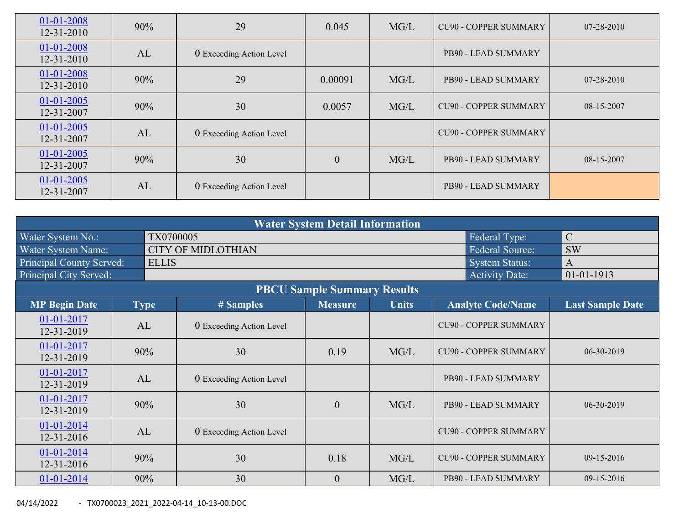| 01-01-2008<br>12-31-2010       | 90%                            | 29                       | 0.045            | MG/L | <b>CU90 - COPPER SUMMARY</b> | 07-28-2010 |
|--------------------------------|--------------------------------|--------------------------|------------------|------|------------------------------|------------|
| 01-01-2008<br>12-31-2010       | AL                             | 0 Exceeding Action Level |                  |      | PB90 - LEAD SUMMARY          |            |
| 01-01-2008<br>12-31-2010       | 90%                            | 29                       |                  | MG/L | PB90 - LEAD SUMMARY          | 07-28-2010 |
| $01 - 01 - 2005$<br>12-31-2007 | 90%                            | 30                       | 0.0057           | MG/L | <b>CU90 - COPPER SUMMARY</b> | 08-15-2007 |
| $01 - 01 - 2005$<br>12-31-2007 | AL<br>0 Exceeding Action Level |                          |                  |      | <b>CU90 - COPPER SUMMARY</b> |            |
| $01 - 01 - 2005$<br>12-31-2007 | 30<br>90%                      |                          | $\boldsymbol{0}$ | MG/L | PB90 - LEAD SUMMARY          | 08-15-2007 |
| $01 - 01 - 2005$<br>12-31-2007 | AL                             | 0 Exceeding Action Level |                  |      | PB90 - LEAD SUMMARY          |            |

| <b>Water System Detail Information</b> |     |              |                           |                                    |              |                              |                         |  |  |  |
|----------------------------------------|-----|--------------|---------------------------|------------------------------------|--------------|------------------------------|-------------------------|--|--|--|
| Water System No.:                      |     | TX0700005    |                           |                                    |              | Federal Type:                | $\mathcal{C}$           |  |  |  |
| Water System Name:                     |     |              | <b>CITY OF MIDLOTHIAN</b> |                                    |              | <b>Federal Source:</b>       | <b>SW</b>               |  |  |  |
| <b>Principal County Served:</b>        |     | <b>ELLIS</b> |                           |                                    |              | <b>System Status:</b>        | A                       |  |  |  |
| Principal City Served:                 |     |              |                           |                                    |              | <b>Activity Date:</b>        | $01 - 01 - 1913$        |  |  |  |
|                                        |     |              |                           | <b>PBCU Sample Summary Results</b> |              |                              |                         |  |  |  |
| <b>MP Begin Date</b>                   |     | <b>Type</b>  | # Samples                 | <b>Measure</b>                     | <b>Units</b> | <b>Analyte Code/Name</b>     | <b>Last Sample Date</b> |  |  |  |
| $01 - 01 - 2017$<br>12-31-2019         |     | AL           | 0 Exceeding Action Level  |                                    |              | <b>CU90 - COPPER SUMMARY</b> |                         |  |  |  |
| 01-01-2017<br>12-31-2019               | 90% |              | 30                        | 0.19                               | MG/L         | <b>CU90 - COPPER SUMMARY</b> | 06-30-2019              |  |  |  |
| 01-01-2017<br>12-31-2019               |     | AL           | 0 Exceeding Action Level  |                                    |              | PB90 - LEAD SUMMARY          |                         |  |  |  |
| 01-01-2017<br>12-31-2019               | 90% |              | 30                        | $\theta$                           | MG/L         | PB90 - LEAD SUMMARY          | 06-30-2019              |  |  |  |
| 01-01-2014<br>AL<br>12-31-2016         |     |              | 0 Exceeding Action Level  |                                    |              | <b>CU90 - COPPER SUMMARY</b> |                         |  |  |  |
| 01-01-2014<br>90%<br>12-31-2016        |     |              | 30                        | 0.18                               | MG/L         | <b>CU90 - COPPER SUMMARY</b> | 09-15-2016              |  |  |  |
| $01-01-2014$                           |     | 90%          | 30                        | $\theta$                           | MG/L         | PB90 - LEAD SUMMARY          | 09-15-2016              |  |  |  |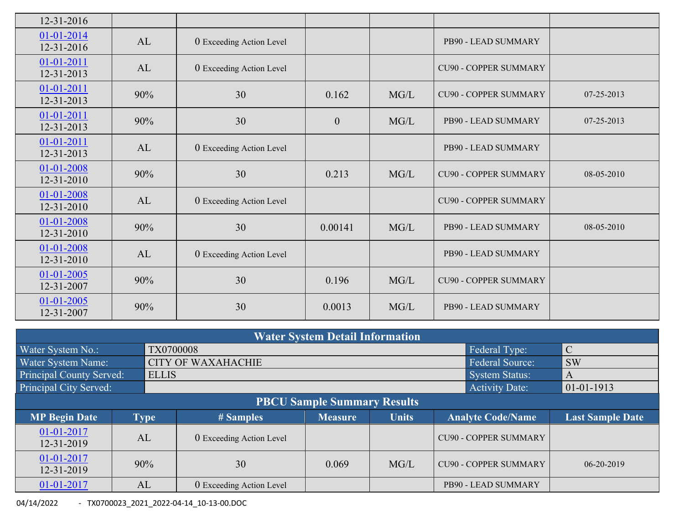| 12-31-2016                     |     |                          |                |      |                              |            |
|--------------------------------|-----|--------------------------|----------------|------|------------------------------|------------|
| $01-01-2014$<br>12-31-2016     | AL  | 0 Exceeding Action Level |                |      | PB90 - LEAD SUMMARY          |            |
| 01-01-2011<br>12-31-2013       | AL  | 0 Exceeding Action Level |                |      | <b>CU90 - COPPER SUMMARY</b> |            |
| 01-01-2011<br>12-31-2013       | 90% | 30                       | 0.162          | MG/L | <b>CU90 - COPPER SUMMARY</b> | 07-25-2013 |
| $01 - 01 - 2011$<br>12-31-2013 | 90% | 30                       | $\overline{0}$ | MG/L | PB90 - LEAD SUMMARY          | 07-25-2013 |
| $01 - 01 - 2011$<br>12-31-2013 | AL  | 0 Exceeding Action Level |                |      | PB90 - LEAD SUMMARY          |            |
| 01-01-2008<br>$12 - 31 - 2010$ | 90% | 30                       | 0.213          | MG/L | <b>CU90 - COPPER SUMMARY</b> | 08-05-2010 |
| 01-01-2008<br>$12 - 31 - 2010$ | AL  | 0 Exceeding Action Level |                |      | <b>CU90 - COPPER SUMMARY</b> |            |
| 01-01-2008<br>$12 - 31 - 2010$ | 90% | 30                       | 0.00141        | MG/L | PB90 - LEAD SUMMARY          | 08-05-2010 |
| 01-01-2008<br>$12 - 31 - 2010$ | AL  | 0 Exceeding Action Level |                |      | PB90 - LEAD SUMMARY          |            |
| 01-01-2005<br>12-31-2007       | 90% | 30                       | 0.196          | MG/L | <b>CU90 - COPPER SUMMARY</b> |            |
| 01-01-2005<br>12-31-2007       | 90% | 30                       | 0.0013         | MG/L | PB90 - LEAD SUMMARY          |            |

| <b>Water System Detail Information</b> |    |              |                          |                |              |                              |                              |                         |  |  |
|----------------------------------------|----|--------------|--------------------------|----------------|--------------|------------------------------|------------------------------|-------------------------|--|--|
| Water System No.:                      |    | TX0700008    |                          |                |              |                              | Federal Type:                | $\mathcal{C}$           |  |  |
| Water System Name:                     |    |              | <b>Federal Source:</b>   | <b>SW</b>      |              |                              |                              |                         |  |  |
| <b>Principal County Served:</b>        |    | <b>ELLIS</b> |                          |                |              |                              | <b>System Status:</b>        | A                       |  |  |
| Principal City Served:                 |    |              |                          |                |              |                              | <b>Activity Date:</b>        | $01-01-1913$            |  |  |
| <b>PBCU Sample Summary Results</b>     |    |              |                          |                |              |                              |                              |                         |  |  |
| <b>MP Begin Date</b>                   |    | <b>Type</b>  | # Samples                | <b>Measure</b> | <b>Units</b> | <b>Analyte Code/Name</b>     |                              | <b>Last Sample Date</b> |  |  |
| 01-01-2017<br>12-31-2019               | AL |              | 0 Exceeding Action Level |                |              |                              | <b>CU90 - COPPER SUMMARY</b> |                         |  |  |
| $01 - 01 - 2017$<br>12-31-2019         |    | 90%          | 30                       | 0.069          | MG/L         | <b>CU90 - COPPER SUMMARY</b> |                              | $06 - 20 - 2019$        |  |  |
| $01 - 01 - 2017$                       | AL |              | 0 Exceeding Action Level |                |              |                              | PB90 - LEAD SUMMARY          |                         |  |  |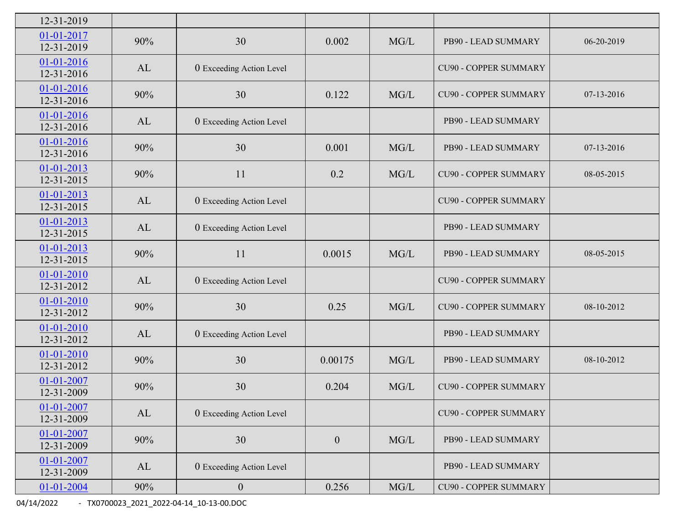| 12-31-2019                           |                                |                          |                |        |                              |            |
|--------------------------------------|--------------------------------|--------------------------|----------------|--------|------------------------------|------------|
| 01-01-2017<br>12-31-2019             | 90%                            | 30                       | 0.002          | MG/L   | PB90 - LEAD SUMMARY          | 06-20-2019 |
| $01-01-2016$<br>12-31-2016           | AL                             | 0 Exceeding Action Level |                |        | <b>CU90 - COPPER SUMMARY</b> |            |
| $01 - 01 - 2016$<br>12-31-2016       | 90%                            | 30                       | 0.122          | MG/L   | <b>CU90 - COPPER SUMMARY</b> | 07-13-2016 |
| 01-01-2016<br>12-31-2016             | AL                             | 0 Exceeding Action Level |                |        | PB90 - LEAD SUMMARY          |            |
| 01-01-2016<br>12-31-2016             | 90%                            | 30                       | 0.001          | MG/L   | PB90 - LEAD SUMMARY          | 07-13-2016 |
| $01 - 01 - 2013$<br>$12 - 31 - 2015$ | 90%                            | 11                       | 0.2            | MG/L   | <b>CU90 - COPPER SUMMARY</b> | 08-05-2015 |
| 01-01-2013<br>12-31-2015             | AL<br>0 Exceeding Action Level |                          |                |        | <b>CU90 - COPPER SUMMARY</b> |            |
| 01-01-2013<br>12-31-2015             | AL                             | 0 Exceeding Action Level |                |        | PB90 - LEAD SUMMARY          |            |
| 01-01-2013<br>12-31-2015             | 90%                            | 11                       | 0.0015         | MG/L   | PB90 - LEAD SUMMARY          | 08-05-2015 |
| 01-01-2010<br>12-31-2012             | AL                             | 0 Exceeding Action Level |                |        | <b>CU90 - COPPER SUMMARY</b> |            |
| $01 - 01 - 2010$<br>12-31-2012       | 90%                            | 30                       | 0.25           | MG/L   | <b>CU90 - COPPER SUMMARY</b> | 08-10-2012 |
| $01 - 01 - 2010$<br>12-31-2012       | AL                             | 0 Exceeding Action Level |                |        | PB90 - LEAD SUMMARY          |            |
| $01-01-2010$<br>12-31-2012           | 90%                            | 30                       | 0.00175        | MG/L   | PB90 - LEAD SUMMARY          | 08-10-2012 |
| 01-01-2007<br>12-31-2009             | 90%                            | 30                       | 0.204          | MG/L   | <b>CU90 - COPPER SUMMARY</b> |            |
| $01 - 01 - 2007$<br>12-31-2009       | AL                             | 0 Exceeding Action Level |                |        | <b>CU90 - COPPER SUMMARY</b> |            |
| 01-01-2007<br>12-31-2009             | 90%                            | 30                       | $\overline{0}$ | MG/L   | PB90 - LEAD SUMMARY          |            |
| 01-01-2007<br>12-31-2009             | AL                             | 0 Exceeding Action Level |                |        | PB90 - LEAD SUMMARY          |            |
| $01 - 01 - 2004$                     | 90%                            | $\boldsymbol{0}$         | 0.256          | $MG/L$ | <b>CU90 - COPPER SUMMARY</b> |            |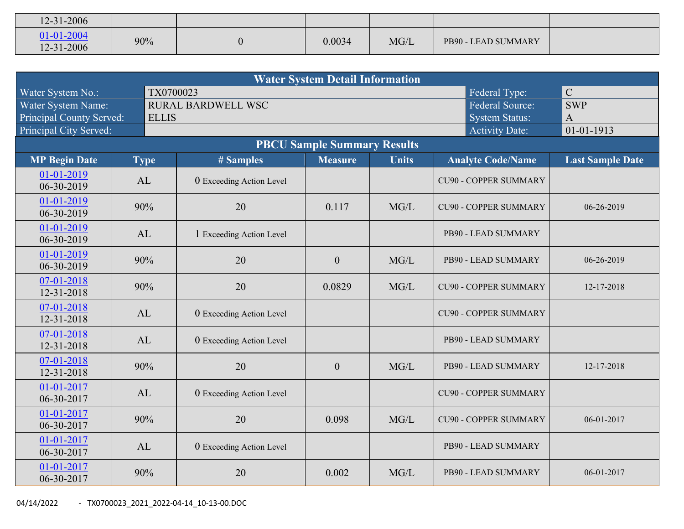| $12 - 31 - 2006$         |     |        |      |                     |  |
|--------------------------|-----|--------|------|---------------------|--|
| 01-01-2004<br>12-31-2006 | 90% | 0.0034 | MG/L | PB90 - LEAD SUMMARY |  |

| <b>Water System Detail Information</b>                                                                                                    |              |                           |                |      |                              |              |  |  |  |  |  |  |
|-------------------------------------------------------------------------------------------------------------------------------------------|--------------|---------------------------|----------------|------|------------------------------|--------------|--|--|--|--|--|--|
| Water System No.:                                                                                                                         | TX0700023    |                           |                |      | Federal Type:                | $\mathbf C$  |  |  |  |  |  |  |
| Water System Name:                                                                                                                        |              | <b>RURAL BARDWELL WSC</b> |                |      | <b>Federal Source:</b>       | <b>SWP</b>   |  |  |  |  |  |  |
| <b>Principal County Served:</b>                                                                                                           | <b>ELLIS</b> |                           |                |      | <b>System Status:</b>        | $\mathbf{A}$ |  |  |  |  |  |  |
| Principal City Served:<br>01-01-1913<br><b>Activity Date:</b>                                                                             |              |                           |                |      |                              |              |  |  |  |  |  |  |
| <b>PBCU Sample Summary Results</b>                                                                                                        |              |                           |                |      |                              |              |  |  |  |  |  |  |
| <b>MP Begin Date</b><br><b>Measure</b><br><b>Units</b><br><b>Analyte Code/Name</b><br><b>Last Sample Date</b><br><b>Type</b><br># Samples |              |                           |                |      |                              |              |  |  |  |  |  |  |
| 01-01-2019<br>06-30-2019                                                                                                                  | AL           | 0 Exceeding Action Level  |                |      | <b>CU90 - COPPER SUMMARY</b> |              |  |  |  |  |  |  |
| 01-01-2019<br>06-30-2019                                                                                                                  | 90%          | 20                        | 0.117          | MG/L | <b>CU90 - COPPER SUMMARY</b> | 06-26-2019   |  |  |  |  |  |  |
| 01-01-2019<br>06-30-2019                                                                                                                  | AL           | 1 Exceeding Action Level  |                |      | PB90 - LEAD SUMMARY          |              |  |  |  |  |  |  |
| 01-01-2019<br>90%<br>06-30-2019                                                                                                           |              | 20                        | $\mathbf{0}$   | MG/L | PB90 - LEAD SUMMARY          | 06-26-2019   |  |  |  |  |  |  |
| 07-01-2018<br>12-31-2018                                                                                                                  | 90%          | 20                        | 0.0829         | MG/L | <b>CU90 - COPPER SUMMARY</b> | 12-17-2018   |  |  |  |  |  |  |
| 07-01-2018<br>12-31-2018                                                                                                                  | AL           | 0 Exceeding Action Level  |                |      | <b>CU90 - COPPER SUMMARY</b> |              |  |  |  |  |  |  |
| 07-01-2018<br>12-31-2018                                                                                                                  | AL           | 0 Exceeding Action Level  |                |      | PB90 - LEAD SUMMARY          |              |  |  |  |  |  |  |
| 07-01-2018<br>12-31-2018                                                                                                                  | 90%          | 20                        | $\overline{0}$ | MG/L | PB90 - LEAD SUMMARY          | 12-17-2018   |  |  |  |  |  |  |
| 01-01-2017<br>06-30-2017                                                                                                                  | AL           | 0 Exceeding Action Level  |                |      | <b>CU90 - COPPER SUMMARY</b> |              |  |  |  |  |  |  |
| 01-01-2017<br>90%<br>06-30-2017                                                                                                           |              | 20                        | 0.098          | MG/L | <b>CU90 - COPPER SUMMARY</b> | 06-01-2017   |  |  |  |  |  |  |
| 01-01-2017<br>06-30-2017                                                                                                                  | AL           | 0 Exceeding Action Level  |                |      | PB90 - LEAD SUMMARY          |              |  |  |  |  |  |  |
| 01-01-2017<br>06-30-2017                                                                                                                  | 90%          | 20                        | 0.002          | MG/L | PB90 - LEAD SUMMARY          | 06-01-2017   |  |  |  |  |  |  |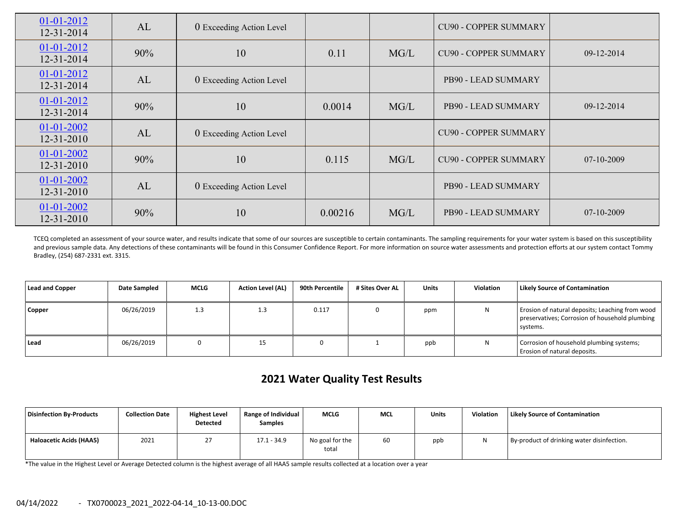| $01-01-2012$<br>12-31-2014       | AL                             | 0 Exceeding Action Level |         |      | <b>CU90 - COPPER SUMMARY</b> |              |
|----------------------------------|--------------------------------|--------------------------|---------|------|------------------------------|--------------|
| $01-01-2012$<br>12-31-2014       | 90%                            | 10                       | 0.11    | MG/L | <b>CU90 - COPPER SUMMARY</b> | 09-12-2014   |
| $01-01-2012$<br>12-31-2014       | AL                             | 0 Exceeding Action Level |         |      | PB90 - LEAD SUMMARY          |              |
| $01-01-2012$<br>12-31-2014       | 90%                            | 10                       | 0.0014  | MG/L | PB90 - LEAD SUMMARY          | $09-12-2014$ |
| $01-01-2002$<br>$12 - 31 - 2010$ | AL<br>0 Exceeding Action Level |                          |         |      | <b>CU90 - COPPER SUMMARY</b> |              |
| $01-01-2002$<br>12-31-2010       | 90%                            | 10                       | 0.115   | MG/L | <b>CU90 - COPPER SUMMARY</b> | $07-10-2009$ |
| $01-01-2002$<br>12-31-2010       | AL                             | 0 Exceeding Action Level |         |      | PB90 - LEAD SUMMARY          |              |
| 01-01-2002<br>$12 - 31 - 2010$   | 10<br>90%                      |                          | 0.00216 | MG/L | PB90 - LEAD SUMMARY          | $07-10-2009$ |

TCEQ completed an assessment of your source water, and results indicate that some of our sources are susceptible to certain contaminants. The sampling requirements for your water system is based on this susceptibility and previous sample data. Any detections of these contaminants will be found in this Consumer Confidence Report. For more information on source water assessments and protection efforts at our system contact Tommy Bradley, (254) 687‐2331 ext. 3315.

| Lead and Copper | Date Sampled | <b>MCLG</b> | <b>Action Level (AL)</b> | 90th Percentile | # Sites Over AL | <b>Units</b> | Violation | Likely Source of Contamination                                                                                |
|-----------------|--------------|-------------|--------------------------|-----------------|-----------------|--------------|-----------|---------------------------------------------------------------------------------------------------------------|
| Copper          | 06/26/2019   | 1.3         | 1.3                      | 0.117           |                 | ppm          |           | Erosion of natural deposits; Leaching from wood<br>preservatives; Corrosion of household plumbing<br>systems. |
| Lead            | 06/26/2019   |             | 15                       |                 |                 | ppb          | N         | Corrosion of household plumbing systems;<br>Erosion of natural deposits.                                      |

# **2021 Water Quality Test Results**

| Disinfection By-Products       | <b>Collection Date</b> | <b>Highest Level</b><br>Detected | Range of Individual<br><b>Samples</b> | <b>MCLG</b>              | <b>MCL</b> | Units | <b>Violation</b> | <b>Likely Source of Contamination</b>      |
|--------------------------------|------------------------|----------------------------------|---------------------------------------|--------------------------|------------|-------|------------------|--------------------------------------------|
| <b>Haloacetic Acids (HAA5)</b> | 2021                   |                                  | $17.1 - 34.9$                         | No goal for the<br>total | 60         | ppb   |                  | By-product of drinking water disinfection. |

\*The value in the Highest Level or Average Detected column is the highest average of all HAA5 sample results collected at <sup>a</sup> location over <sup>a</sup> year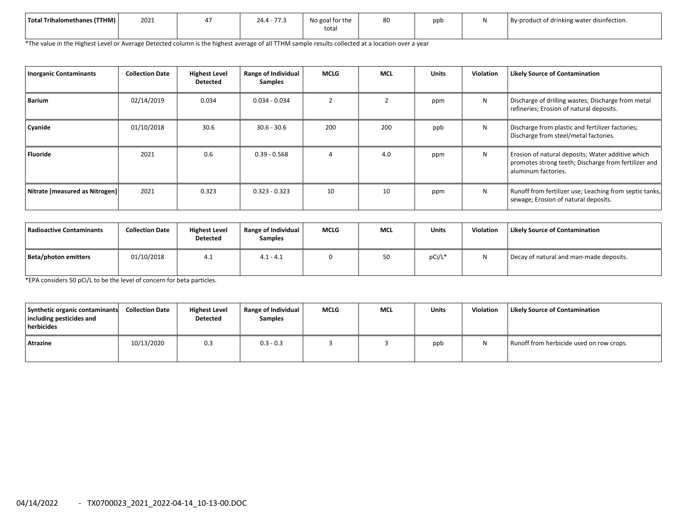| Total Trihalomethanes (TTHM) | 2021 | 77.7<br>24.4<br>. | No goal for the<br>tota. | 80 | ppt | By-product of drinking water disinfection. |
|------------------------------|------|-------------------|--------------------------|----|-----|--------------------------------------------|
|                              |      |                   |                          |    |     |                                            |

\*The value in the Highest Level or Average Detected column is the highest average of all TTHM sample results collected at <sup>a</sup> location over <sup>a</sup> year

| <b>Inorganic Contaminants</b>   | <b>Collection Date</b> | <b>Highest Level</b><br>Detected | Range of Individual<br><b>Samples</b> | <b>MCLG</b> | <b>MCL</b> | <b>Units</b> | <b>Violation</b> | <b>Likely Source of Contamination</b>                                                                                            |
|---------------------------------|------------------------|----------------------------------|---------------------------------------|-------------|------------|--------------|------------------|----------------------------------------------------------------------------------------------------------------------------------|
| <b>Barium</b>                   | 02/14/2019             | 0.034                            | $0.034 - 0.034$                       |             | 2          | ppm          | N                | Discharge of drilling wastes; Discharge from metal<br>refineries; Erosion of natural deposits.                                   |
| Cyanide                         | 01/10/2018             | 30.6                             | $30.6 - 30.6$                         | 200         | 200        | ppb          | N                | Discharge from plastic and fertilizer factories;<br>Discharge from steel/metal factories.                                        |
| <b>Fluoride</b>                 | 2021                   | 0.6                              | $0.39 - 0.568$                        |             | 4.0        | ppm          | N                | Erosion of natural deposits; Water additive which<br>promotes strong teeth; Discharge from fertilizer and<br>aluminum factories. |
| Nitrate [measured as Nitrogen]] | 2021                   | 0.323                            | $0.323 - 0.323$                       | 10          | 10         | ppm          | N                | Runoff from fertilizer use; Leaching from septic tanks,<br>sewage; Erosion of natural deposits.                                  |

| l Radioactive Contaminants | <b>Collection Date</b> | <b>Highest Level</b><br>Detected | <b>Range of Individual</b><br><b>Samples</b> | <b>MCLG</b> | <b>MCL</b> | <b>Units</b> | Violation    | <b>Likely Source of Contamination</b>   |
|----------------------------|------------------------|----------------------------------|----------------------------------------------|-------------|------------|--------------|--------------|-----------------------------------------|
| Beta/photon emitters       | 01/10/2018             | 4.1                              | $4.1 - 4.1$                                  |             | 50         | pCi/L*       | $\mathbf{M}$ | Decay of natural and man-made deposits. |

\*EPA considers 50 pCi/L to be the level of concern for beta particles.

| Synthetic organic contaminants<br>including pesticides and<br>herbicides | <b>Collection Date</b> | <b>Highest Level</b><br>Detected | Range of Individual<br><b>Samples</b> | <b>MCLG</b> | <b>MCL</b> | Units | <b>Violation</b> | <b>Likely Source of Contamination</b>    |
|--------------------------------------------------------------------------|------------------------|----------------------------------|---------------------------------------|-------------|------------|-------|------------------|------------------------------------------|
| Atrazine                                                                 | 10/13/2020             | 0.3                              | $0.3 - 0.3$                           |             |            | ppb   | N                | Runoff from herbicide used on row crops. |